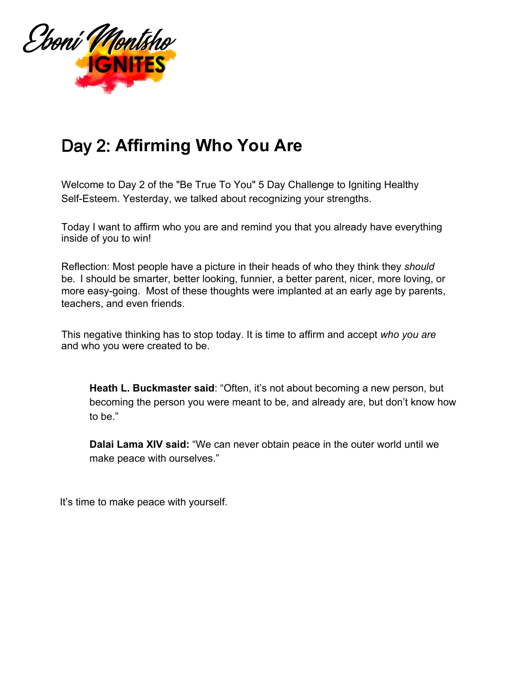

## Day 2: **Affirming Who You Are**

Welcome to Day 2 of the "Be True To You" 5 Day Challenge to Igniting Healthy Self-Esteem. Yesterday, we talked about recognizing your strengths.

Today I want to affirm who you are and remind you that you already have everything inside of you to win!

Reflection: Most people have a picture in their heads of who they think they *should*  be*.* I should be smarter, better looking, funnier, a better parent, nicer, more loving, or more easy-going. Most of these thoughts were implanted at an early age by parents, teachers, and even friends.

This negative thinking has to stop today. It is time to affirm and accept *who you are* and who you were created to be.

**Heath L. Buckmaster said**: "Often, it's not about becoming a new person, but becoming the person you were meant to be, and already are, but don't know how to be."

**Dalai Lama XIV said:** "We can never obtain peace in the outer world until we make peace with ourselves."

It's time to make peace with yourself.